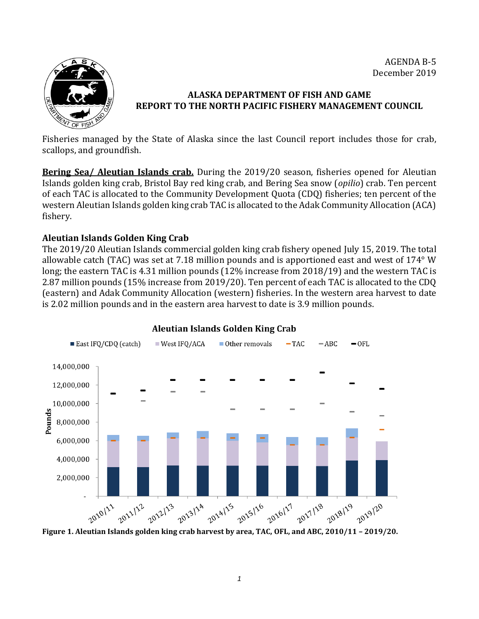AGENDA B-5 December 2019



# **ALASKA DEPARTMENT OF FISH AND GAME REPORT TO THE NORTH PACIFIC FISHERY MANAGEMENT COUNCIL**

Fisheries managed by the State of Alaska since the last Council report includes those for crab, scallops, and groundfish.

**Bering Sea/ Aleutian Islands crab.** During the 2019/20 season, fisheries opened for Aleutian Islands golden king crab, Bristol Bay red king crab, and Bering Sea snow (*opilio*) crab. Ten percent of each TAC is allocated to the Community Development Quota (CDQ) fisheries; ten percent of the western Aleutian Islands golden king crab TAC is allocated to the Adak Community Allocation (ACA) fishery.

### **Aleutian Islands Golden King Crab**

The 2019/20 Aleutian Islands commercial golden king crab fishery opened July 15, 2019. The total allowable catch (TAC) was set at 7.18 million pounds and is apportioned east and west of 174° W long; the eastern TAC is 4.31 million pounds (12% increase from 2018/19) and the western TAC is 2.87 million pounds (15% increase from 2019/20). Ten percent of each TAC is allocated to the CDQ (eastern) and Adak Community Allocation (western) fisheries. In the western area harvest to date is 2.02 million pounds and in the eastern area harvest to date is 3.9 million pounds.



### **Aleutian Islands Golden King Crab**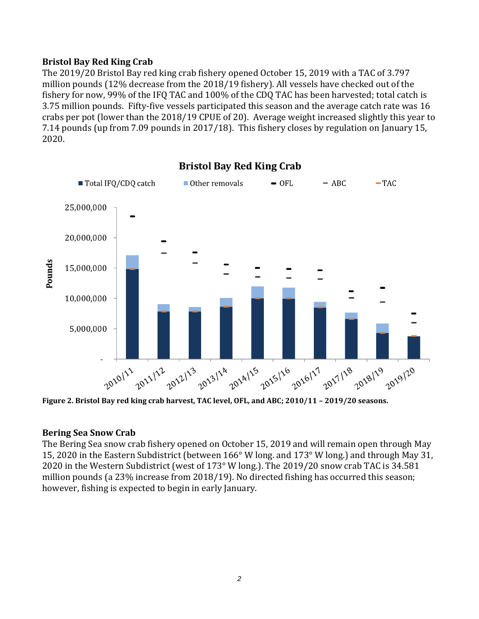### **Bristol Bay Red King Crab**

The 2019/20 Bristol Bay red king crab fishery opened October 15, 2019 with a TAC of 3.797 million pounds (12% decrease from the 2018/19 fishery). All vessels have checked out of the fishery for now, 99% of the IFQ TAC and 100% of the CDQ TAC has been harvested; total catch is 3.75 million pounds. Fifty-five vessels participated this season and the average catch rate was 16 crabs per pot (lower than the 2018/19 CPUE of 20). Average weight increased slightly this year to 7.14 pounds (up from 7.09 pounds in 2017/18). This fishery closes by regulation on January 15, 2020.



# **Bristol Bay Red King Crab**

**Figure 2. Bristol Bay red king crab harvest, TAC level, OFL, and ABC; 2010/11 – 2019/20 seasons.**

### **Bering Sea Snow Crab**

The Bering Sea snow crab fishery opened on October 15, 2019 and will remain open through May 15, 2020 in the Eastern Subdistrict (between 166° W long. and 173° W long.) and through May 31, 2020 in the Western Subdistrict (west of 173° W long.). The 2019/20 snow crab TAC is 34.581 million pounds (a 23% increase from 2018/19). No directed fishing has occurred this season; however, fishing is expected to begin in early January.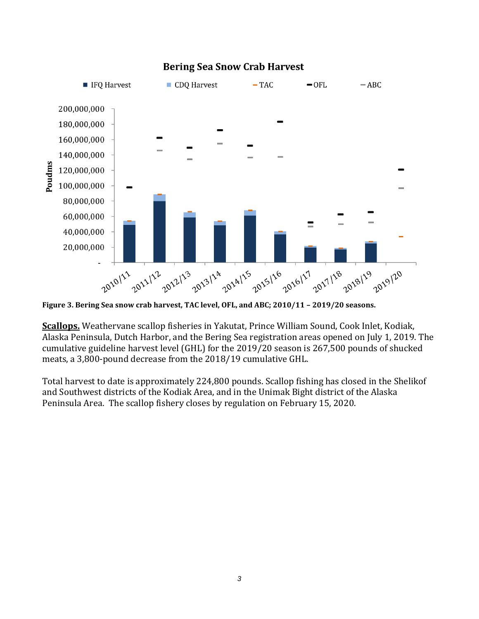

# **Bering Sea Snow Crab Harvest**

**Figure 3. Bering Sea snow crab harvest, TAC level, OFL, and ABC; 2010/11 – 2019/20 seasons.** 

**Scallops.** Weathervane scallop fisheries in Yakutat, Prince William Sound, Cook Inlet, Kodiak, Alaska Peninsula, Dutch Harbor, and the Bering Sea registration areas opened on July 1, 2019. The cumulative guideline harvest level (GHL) for the 2019/20 season is 267,500 pounds of shucked meats, a 3,800-pound decrease from the 2018/19 cumulative GHL.

Total harvest to date is approximately 224,800 pounds. Scallop fishing has closed in the Shelikof and Southwest districts of the Kodiak Area, and in the Unimak Bight district of the Alaska Peninsula Area. The scallop fishery closes by regulation on February 15, 2020.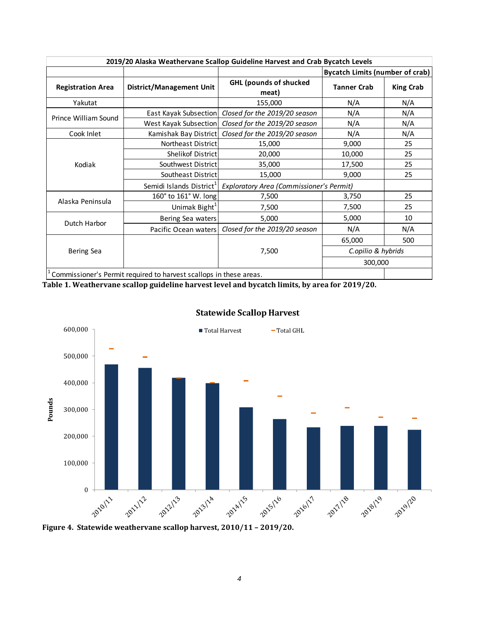| 2019/20 Alaska Weathervane Scallop Guideline Harvest and Crab Bycatch Levels                  |                                      |                                          |                                        |                  |  |  |
|-----------------------------------------------------------------------------------------------|--------------------------------------|------------------------------------------|----------------------------------------|------------------|--|--|
|                                                                                               |                                      |                                          | <b>Bycatch Limits (number of crab)</b> |                  |  |  |
| <b>Registration Area</b>                                                                      | <b>District/Management Unit</b>      | <b>GHL (pounds of shucked</b><br>meat)   | <b>Tanner Crab</b>                     | <b>King Crab</b> |  |  |
| Yakutat                                                                                       |                                      | 155,000                                  | N/A                                    | N/A              |  |  |
| Prince William Sound                                                                          | East Kayak Subsection                | Closed for the 2019/20 season            | N/A                                    | N/A              |  |  |
|                                                                                               | West Kayak Subsection                | Closed for the 2019/20 season            | N/A                                    | N/A              |  |  |
| Cook Inlet                                                                                    | Kamishak Bay District                | Closed for the 2019/20 season            | N/A                                    | N/A              |  |  |
| Kodiak                                                                                        | Northeast District                   | 15,000                                   | 9,000                                  | 25               |  |  |
|                                                                                               | Shelikof District                    | 20,000                                   | 10,000                                 | 25               |  |  |
|                                                                                               | Southwest District                   | 35,000                                   | 17,500                                 | 25               |  |  |
|                                                                                               | Southeast District                   | 15,000                                   | 9,000                                  | 25               |  |  |
|                                                                                               | Semidi Islands District <sup>1</sup> | Exploratory Area (Commissioner's Permit) |                                        |                  |  |  |
| Alaska Peninsula                                                                              | 160° to 161° W. long                 | 7,500                                    | 3,750                                  | 25               |  |  |
|                                                                                               | Unimak Bight <sup>1</sup>            | 7,500                                    | 7,500                                  | 25               |  |  |
| Dutch Harbor                                                                                  | Bering Sea waters                    | 5,000                                    | 5,000                                  | 10               |  |  |
|                                                                                               | Pacific Ocean waters                 | Closed for the 2019/20 season            | N/A                                    | N/A              |  |  |
| <b>Bering Sea</b>                                                                             |                                      |                                          | 65,000                                 | 500              |  |  |
|                                                                                               |                                      | 7,500                                    | C.opilio & hybrids                     |                  |  |  |
|                                                                                               |                                      |                                          | 300,000                                |                  |  |  |
| Commissioner's Permit required to harvest scallops in these areas.                            |                                      |                                          |                                        |                  |  |  |
| Table 1. Weathervane scallop guideline harvest level and bycatch limits, by area for 2019/20. |                                      |                                          |                                        |                  |  |  |



# **Statewide Scallop Harvest**

**Figure 4. Statewide weathervane scallop harvest, 2010/11 – 2019/20.**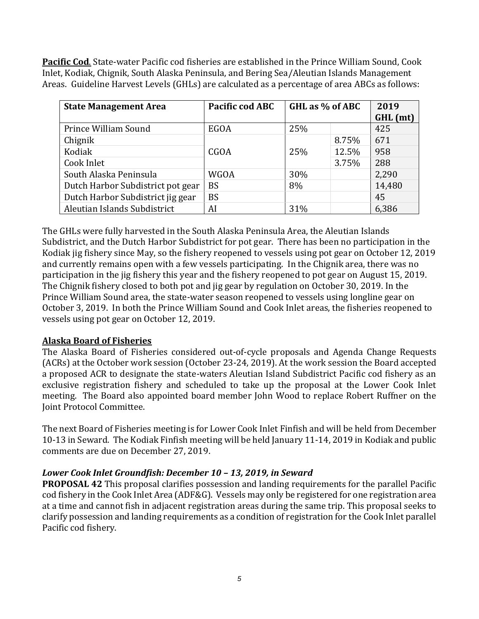**Pacific Cod**. State-water Pacific cod fisheries are established in the Prince William Sound, Cook Inlet, Kodiak, Chignik, South Alaska Peninsula, and Bering Sea/Aleutian Islands Management Areas. Guideline Harvest Levels (GHLs) are calculated as a percentage of area ABCs as follows:

| <b>State Management Area</b>      | Pacific cod ABC | GHL as % of ABC |       | 2019     |
|-----------------------------------|-----------------|-----------------|-------|----------|
|                                   |                 |                 |       | GHL (mt) |
| Prince William Sound              | EGOA            | 25%             |       | 425      |
| Chignik                           |                 |                 | 8.75% | 671      |
| Kodiak                            | <b>CGOA</b>     | 25%             | 12.5% | 958      |
| Cook Inlet                        |                 |                 | 3.75% | 288      |
| South Alaska Peninsula            | <b>WGOA</b>     | 30%             |       | 2,290    |
| Dutch Harbor Subdistrict pot gear | <b>BS</b>       | 8%              |       | 14,480   |
| Dutch Harbor Subdistrict jig gear | <b>BS</b>       |                 |       | 45       |
| Aleutian Islands Subdistrict      | AI              | 31%             |       | 6,386    |

The GHLs were fully harvested in the South Alaska Peninsula Area, the Aleutian Islands Subdistrict, and the Dutch Harbor Subdistrict for pot gear. There has been no participation in the Kodiak jig fishery since May, so the fishery reopened to vessels using pot gear on October 12, 2019 and currently remains open with a few vessels participating. In the Chignik area, there was no participation in the jig fishery this year and the fishery reopened to pot gear on August 15, 2019. The Chignik fishery closed to both pot and jig gear by regulation on October 30, 2019. In the Prince William Sound area, the state-water season reopened to vessels using longline gear on October 3, 2019. In both the Prince William Sound and Cook Inlet areas, the fisheries reopened to vessels using pot gear on October 12, 2019.

### **Alaska Board of Fisheries**

The Alaska Board of Fisheries considered out-of-cycle proposals and Agenda Change Requests (ACRs) at the October work session (October 23-24, 2019). At the work session the Board accepted a proposed ACR to designate the state-waters Aleutian Island Subdistrict Pacific cod fishery as an exclusive registration fishery and scheduled to take up the proposal at the Lower Cook Inlet meeting. The Board also appointed board member John Wood to replace Robert Ruffner on the Joint Protocol Committee.

The next Board of Fisheries meeting is for Lower Cook Inlet Finfish and will be held from December 10-13 in Seward. The Kodiak Finfish meeting will be held January 11-14, 2019 in Kodiak and public comments are due on December 27, 2019.

### *Lower Cook Inlet Groundfish: December 10 – 13, 2019, in Seward*

**PROPOSAL 42** This proposal clarifies possession and landing requirements for the parallel Pacific cod fishery in the Cook Inlet Area (ADF&G). Vessels may only be registered for one registration area at a time and cannot fish in adjacent registration areas during the same trip. This proposal seeks to clarify possession and landing requirements as a condition of registration for the Cook Inlet parallel Pacific cod fishery.